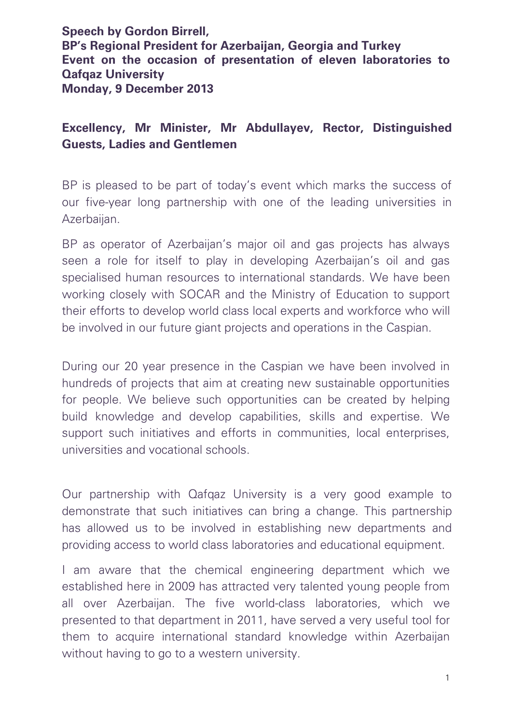**Speech by Gordon Birrell, BP's Regional President for Azerbaijan, Georgia and Turkey Event on the occasion of presentation of eleven laboratories to Qafqaz University Monday, 9 December 2013**

## **Excellency, Mr Minister, Mr Abdullayev, Rector, Distinguished Guests, Ladies and Gentlemen**

BP is pleased to be part of today's event which marks the success of our five-year long partnership with one of the leading universities in Azerbaijan.

BP as operator of Azerbaijan's major oil and gas projects has always seen a role for itself to play in developing Azerbaijan's oil and gas specialised human resources to international standards. We have been working closely with SOCAR and the Ministry of Education to support their efforts to develop world class local experts and workforce who will be involved in our future giant projects and operations in the Caspian.

During our 20 year presence in the Caspian we have been involved in hundreds of projects that aim at creating new sustainable opportunities for people. We believe such opportunities can be created by helping build knowledge and develop capabilities, skills and expertise. We support such initiatives and efforts in communities, local enterprises, universities and vocational schools.

Our partnership with Qafqaz University is a very good example to demonstrate that such initiatives can bring a change. This partnership has allowed us to be involved in establishing new departments and providing access to world class laboratories and educational equipment.

I am aware that the chemical engineering department which we established here in 2009 has attracted very talented young people from all over Azerbaijan. The five world-class laboratories, which we presented to that department in 2011, have served a very useful tool for them to acquire international standard knowledge within Azerbaijan without having to go to a western university.